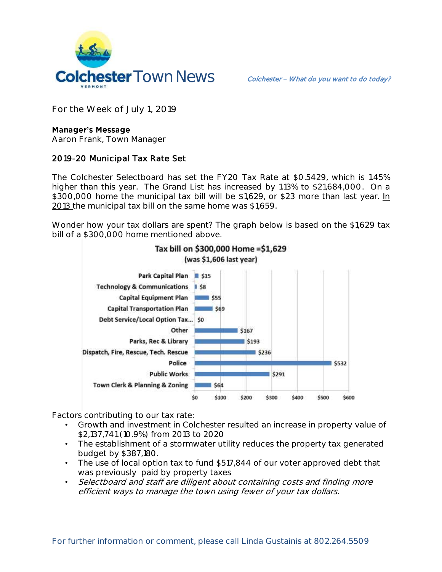

**For the Week of July 1, 2019**

## **Manager's Message**

**Aaron Frank, Town Manager**

## **2019-20 Municipal Tax Rate Set**

The Colchester Selectboard has set the FY20 Tax Rate at \$0.5429, which is 1.45% higher than this year. The Grand List has increased by 1.13% to \$21,684,000. On a \$300,000 home the municipal tax bill will be \$1,629, or \$23 more than last year. In 2013 the municipal tax bill on the same home was \$1,659.

Wonder how your tax dollars are spent? The graph below is based on the \$1,629 tax bill of a \$300,000 home mentioned above.



Tax bill on \$300,000 Home = \$1,629

Factors contributing to our tax rate:

- Growth and investment in Colchester resulted an increase in property value of \$2,137,741 (10.9%) from 2013 to 2020
- The establishment of a stormwater utility reduces the property tax generated budget by \$387,180.
- The use of local option tax to fund \$517,844 of our voter approved debt that was previously paid by property taxes
- Selectboard and staff are diligent about containing costs and finding more efficient ways to manage the town using fewer of your tax dollars.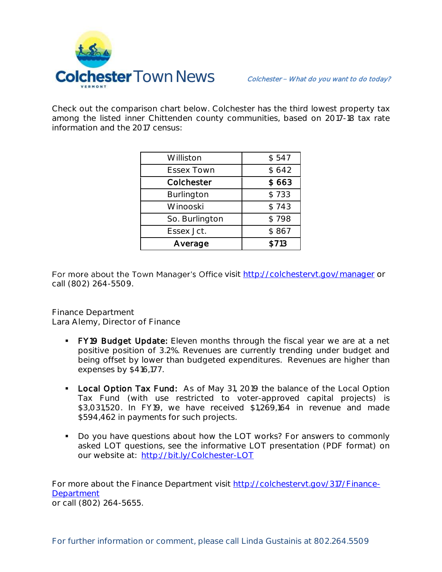

Check out the comparison chart below. Colchester has the third lowest property tax among the listed inner Chittenden county communities, based on 2017-18 tax rate information and the 2017 census:

| Williston         | \$547 |
|-------------------|-------|
| <b>Essex Town</b> | \$642 |
| Colchester        | \$663 |
| Burlington        | \$733 |
| Winooski          | \$743 |
| So. Burlington    | \$798 |
| Essex Jct.        | \$867 |
| Average           | \$713 |

For more about the Town Manager's Office visit<http://colchestervt.gov/manager> or call (802) 264-5509.

**Finance Department Lara Alemy, Director of Finance**

- FY19 Budget Update: Eleven months through the fiscal year we are at a net positive position of 3.2%. Revenues are currently trending under budget and being offset by lower than budgeted expenditures. Revenues are higher than expenses by \$416,177.
- Local Option Tax Fund: As of May 31, 2019 the balance of the Local Option Tax Fund (with use restricted to voter-approved capital projects) is \$3,031,520. In FY19, we have received \$1,269,164 in revenue and made \$594,462 in payments for such projects.
- Do you have questions about how the LOT works? For answers to commonly asked LOT questions, see the informative LOT presentation (PDF format) on our website at: <http://bit.ly/Colchester-LOT>

For more about the Finance Department visit [http://colchestervt.gov/317/Finance-](http://colchestervt.gov/317/Finance-Department)**[Department](http://colchestervt.gov/317/Finance-Department)** or call (802) 264-5655.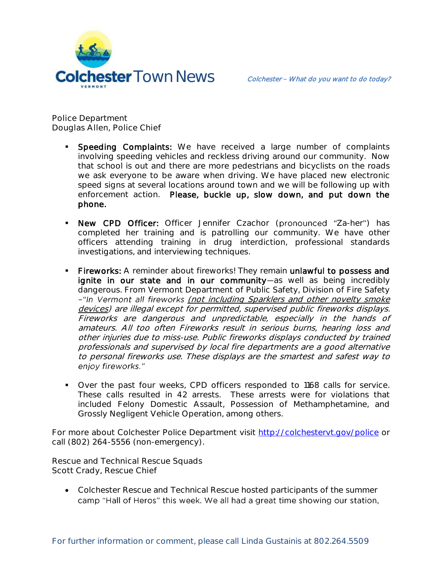

**Police Department Douglas Allen, Police Chief** 

- Speeding Complaints: We have received a large number of complaints involving speeding vehicles and reckless driving around our community. Now that school is out and there are more pedestrians and bicyclists on the roads we ask everyone to be aware when driving. We have placed new electronic speed signs at several locations around town and we will be following up with enforcement action. Please, buckle up, slow down, and put down the phone.
- New CPD Officer: Officer Jennifer Czachor (pronounced "Za-her") has completed her training and is patrolling our community. We have other officers attending training in drug interdiction, professional standards investigations, and interviewing techniques.
- Fireworks: A reminder about fireworks! They remain unlawful to possess and ignite in our state and in our community-as well as being incredibly dangerous. From Vermont Department of Public Safety, Division of Fire Safety -"In Vermont all fireworks (not including Sparklers and other novelty smoke devices) are illegal except for permitted, supervised public fireworks displays. Fireworks are dangerous and unpredictable, especially in the hands of amateurs. All too often Fireworks result in serious burns, hearing loss and other injuries due to miss-use. Public fireworks displays conducted by trained professionals and supervised by local fire departments are a good alternative to personal fireworks use. These displays are the smartest and safest way to eniov fireworks."
- Over the past four weeks, CPD officers responded to 1168 calls for service. These calls resulted in 42 arrests. These arrests were for violations that included Felony Domestic Assault, Possession of Methamphetamine, and Grossly Negligent Vehicle Operation, among others.

For more about Colchester Police Department visit<http://colchestervt.gov/police> or call (802) 264-5556 (non-emergency).

**Rescue and Technical Rescue Squads Scott Crady, Rescue Chief**

 Colchester Rescue and Technical Rescue hosted participants of the summer camp "Hall of Heros" this week. We all had a great time showing our station,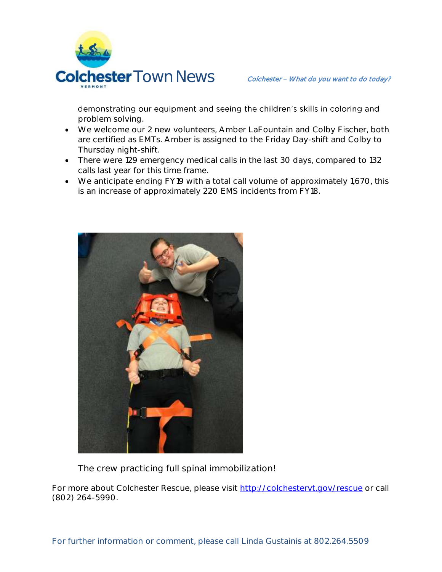

demonstrating our equipment and seeing the children's skills in coloring and problem solving.

- We welcome our 2 new volunteers, Amber LaFountain and Colby Fischer, both are certified as EMTs. Amber is assigned to the Friday Day-shift and Colby to Thursday night-shift.
- There were 129 emergency medical calls in the last 30 days, compared to 132 calls last year for this time frame.
- We anticipate ending FY19 with a total call volume of approximately 1,670, this is an increase of approximately 220 EMS incidents from FY18.



The crew practicing full spinal immobilization!

For more about Colchester Rescue, please visit [http://colchestervt.gov/rescue](http://colchestervt.gov/rescue/index.shtml) or call (802) 264-5990.